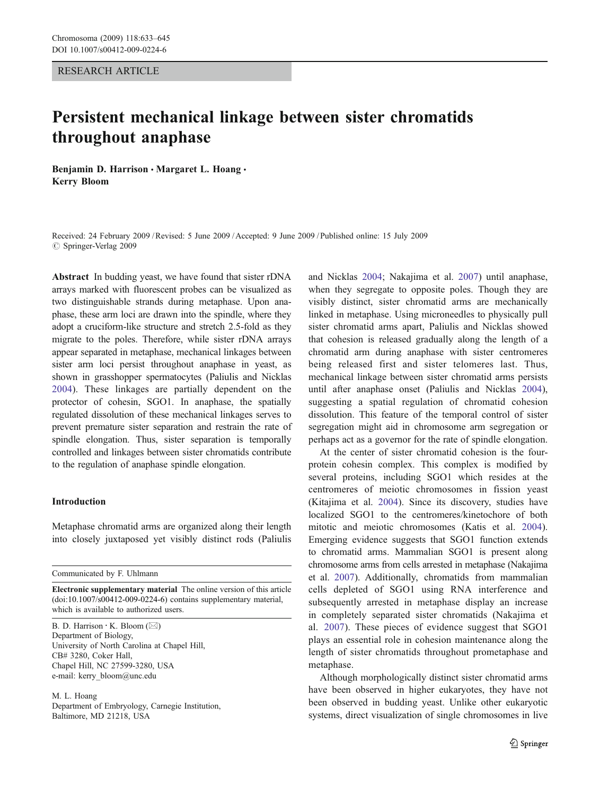RESEARCH ARTICLE

# Persistent mechanical linkage between sister chromatids throughout anaphase

Benjamin D. Harrison · Margaret L. Hoang · Kerry Bloom

Received: 24 February 2009 /Revised: 5 June 2009 /Accepted: 9 June 2009 / Published online: 15 July 2009  $\oslash$  Springer-Verlag 2009

Abstract In budding yeast, we have found that sister rDNA arrays marked with fluorescent probes can be visualized as two distinguishable strands during metaphase. Upon anaphase, these arm loci are drawn into the spindle, where they adopt a cruciform-like structure and stretch 2.5-fold as they migrate to the poles. Therefore, while sister rDNA arrays appear separated in metaphase, mechanical linkages between sister arm loci persist throughout anaphase in yeast, as shown in grasshopper spermatocytes (Paliulis and Nicklas [2004\)](#page-11-0). These linkages are partially dependent on the protector of cohesin, SGO1. In anaphase, the spatially regulated dissolution of these mechanical linkages serves to prevent premature sister separation and restrain the rate of spindle elongation. Thus, sister separation is temporally controlled and linkages between sister chromatids contribute to the regulation of anaphase spindle elongation.

## Introduction

Metaphase chromatid arms are organized along their length into closely juxtaposed yet visibly distinct rods (Paliulis

Communicated by F. Uhlmann

Electronic supplementary material The online version of this article (doi[:10.1007/s00412-009-0224-6\)](dx.doi.org/10.1007/s00412-009-0224-6) contains supplementary material, which is available to authorized users.

B. D. Harrison *:* K. Bloom (*\**) Department of Biology, University of North Carolina at Chapel Hill, CB# 3280, Coker Hall, Chapel Hill, NC 27599-3280, USA e-mail: kerry\_bloom@unc.edu

M. L. Hoang Department of Embryology, Carnegie Institution, Baltimore, MD 21218, USA

and Nicklas [2004](#page-11-0); Nakajima et al. [2007\)](#page-11-0) until anaphase, when they segregate to opposite poles. Though they are visibly distinct, sister chromatid arms are mechanically linked in metaphase. Using microneedles to physically pull sister chromatid arms apart, Paliulis and Nicklas showed that cohesion is released gradually along the length of a chromatid arm during anaphase with sister centromeres being released first and sister telomeres last. Thus, mechanical linkage between sister chromatid arms persists until after anaphase onset (Paliulis and Nicklas [2004](#page-11-0)), suggesting a spatial regulation of chromatid cohesion dissolution. This feature of the temporal control of sister segregation might aid in chromosome arm segregation or perhaps act as a governor for the rate of spindle elongation.

At the center of sister chromatid cohesion is the fourprotein cohesin complex. This complex is modified by several proteins, including SGO1 which resides at the centromeres of meiotic chromosomes in fission yeast (Kitajima et al. [2004](#page-11-0)). Since its discovery, studies have localized SGO1 to the centromeres/kinetochore of both mitotic and meiotic chromosomes (Katis et al. [2004](#page-11-0)). Emerging evidence suggests that SGO1 function extends to chromatid arms. Mammalian SGO1 is present along chromosome arms from cells arrested in metaphase (Nakajima et al. [2007\)](#page-11-0). Additionally, chromatids from mammalian cells depleted of SGO1 using RNA interference and subsequently arrested in metaphase display an increase in completely separated sister chromatids (Nakajima et al. [2007\)](#page-11-0). These pieces of evidence suggest that SGO1 plays an essential role in cohesion maintenance along the length of sister chromatids throughout prometaphase and metaphase.

Although morphologically distinct sister chromatid arms have been observed in higher eukaryotes, they have not been observed in budding yeast. Unlike other eukaryotic systems, direct visualization of single chromosomes in live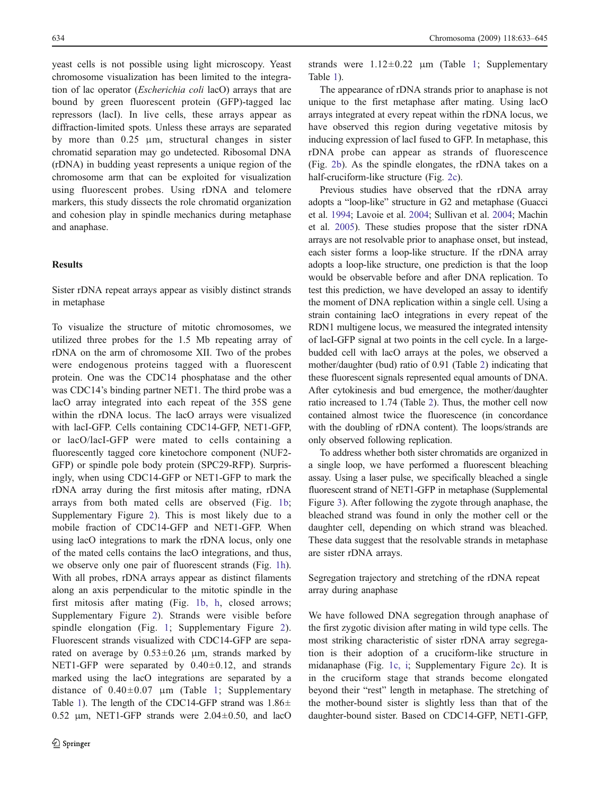yeast cells is not possible using light microscopy. Yeast chromosome visualization has been limited to the integration of lac operator (Escherichia coli lacO) arrays that are bound by green fluorescent protein (GFP)-tagged lac repressors (lacI). In live cells, these arrays appear as diffraction-limited spots. Unless these arrays are separated by more than  $0.25 \mu m$ , structural changes in sister chromatid separation may go undetected. Ribosomal DNA (rDNA) in budding yeast represents a unique region of the chromosome arm that can be exploited for visualization using fluorescent probes. Using rDNA and telomere markers, this study dissects the role chromatid organization and cohesion play in spindle mechanics during metaphase and anaphase.

### **Results**

Sister rDNA repeat arrays appear as visibly distinct strands in metaphase

To visualize the structure of mitotic chromosomes, we utilized three probes for the 1.5 Mb repeating array of rDNA on the arm of chromosome XII. Two of the probes were endogenous proteins tagged with a fluorescent protein. One was the CDC14 phosphatase and the other was CDC14's binding partner NET1. The third probe was a lacO array integrated into each repeat of the 35S gene within the rDNA locus. The lacO arrays were visualized with lacI-GFP. Cells containing CDC14-GFP, NET1-GFP, or lacO/lacI-GFP were mated to cells containing a fluorescently tagged core kinetochore component (NUF2- GFP) or spindle pole body protein (SPC29-RFP). Surprisingly, when using CDC14-GFP or NET1-GFP to mark the rDNA array during the first mitosis after mating, rDNA arrays from both mated cells are observed (Fig. [1b](#page-2-0); Supplementary Figure 2). This is most likely due to a mobile fraction of CDC14-GFP and NET1-GFP. When using lacO integrations to mark the rDNA locus, only one of the mated cells contains the lacO integrations, and thus, we observe only one pair of fluorescent strands (Fig. [1h](#page-2-0)). With all probes, rDNA arrays appear as distinct filaments along an axis perpendicular to the mitotic spindle in the first mitosis after mating (Fig. [1b, h,](#page-2-0) closed arrows; Supplementary Figure 2). Strands were visible before spindle elongation (Fig. [1](#page-2-0); Supplementary Figure 2). Fluorescent strands visualized with CDC14-GFP are separated on average by  $0.53 \pm 0.26$   $\mu$ m, strands marked by NET1-GFP were separated by  $0.40 \pm 0.12$ , and strands marked using the lacO integrations are separated by a distance of  $0.40\pm0.07$  µm (Table [1;](#page-3-0) Supplementary Table 1). The length of the CDC14-GFP strand was  $1.86 \pm$ 0.52  $\mu$ m, NET1-GFP strands were 2.04 $\pm$ 0.50, and lacO strands were  $1.12 \pm 0.22$  μm (Table [1;](#page-3-0) Supplementary Table 1).

The appearance of rDNA strands prior to anaphase is not unique to the first metaphase after mating. Using lacO arrays integrated at every repeat within the rDNA locus, we have observed this region during vegetative mitosis by inducing expression of lacI fused to GFP. In metaphase, this rDNA probe can appear as strands of fluorescence (Fig. [2b\)](#page-3-0). As the spindle elongates, the rDNA takes on a half-cruciform-like structure (Fig. [2c\)](#page-3-0).

Previous studies have observed that the rDNA array adopts a "loop-like" structure in G2 and metaphase (Guacci et al. [1994;](#page-11-0) Lavoie et al. [2004](#page-11-0); Sullivan et al. [2004](#page-11-0); Machin et al. [2005\)](#page-11-0). These studies propose that the sister rDNA arrays are not resolvable prior to anaphase onset, but instead, each sister forms a loop-like structure. If the rDNA array adopts a loop-like structure, one prediction is that the loop would be observable before and after DNA replication. To test this prediction, we have developed an assay to identify the moment of DNA replication within a single cell. Using a strain containing lacO integrations in every repeat of the RDN1 multigene locus, we measured the integrated intensity of lacI-GFP signal at two points in the cell cycle. In a largebudded cell with lacO arrays at the poles, we observed a mother/daughter (bud) ratio of 0.91 (Table [2](#page-4-0)) indicating that these fluorescent signals represented equal amounts of DNA. After cytokinesis and bud emergence, the mother/daughter ratio increased to 1.74 (Table [2](#page-4-0)). Thus, the mother cell now contained almost twice the fluorescence (in concordance with the doubling of rDNA content). The loops/strands are only observed following replication.

To address whether both sister chromatids are organized in a single loop, we have performed a fluorescent bleaching assay. Using a laser pulse, we specifically bleached a single fluorescent strand of NET1-GFP in metaphase (Supplemental Figure 3). After following the zygote through anaphase, the bleached strand was found in only the mother cell or the daughter cell, depending on which strand was bleached. These data suggest that the resolvable strands in metaphase are sister rDNA arrays.

Segregation trajectory and stretching of the rDNA repeat array during anaphase

We have followed DNA segregation through anaphase of the first zygotic division after mating in wild type cells. The most striking characteristic of sister rDNA array segregation is their adoption of a cruciform-like structure in midanaphase (Fig. [1c, i;](#page-2-0) Supplementary Figure 2c). It is in the cruciform stage that strands become elongated beyond their "rest" length in metaphase. The stretching of the mother-bound sister is slightly less than that of the daughter-bound sister. Based on CDC14-GFP, NET1-GFP,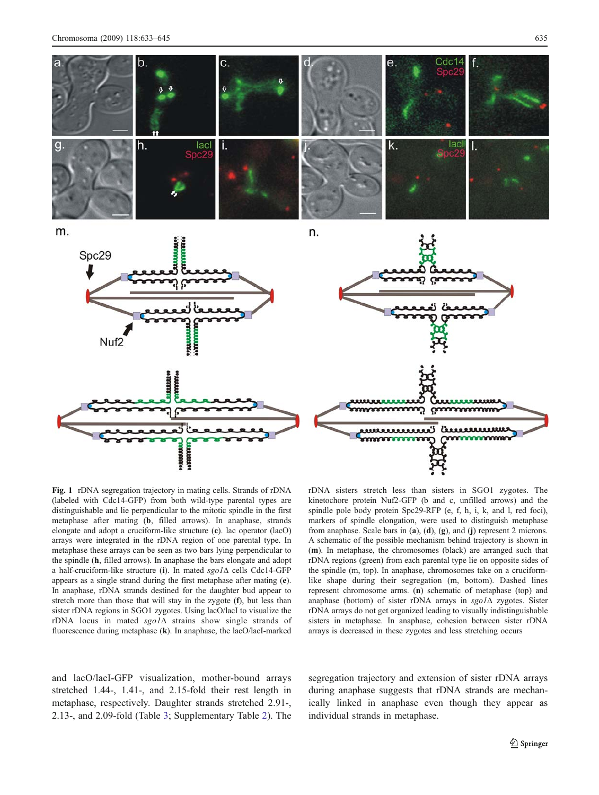<span id="page-2-0"></span>

Fig. 1 rDNA segregation trajectory in mating cells. Strands of rDNA (labeled with Cdc14-GFP) from both wild-type parental types are distinguishable and lie perpendicular to the mitotic spindle in the first metaphase after mating (b, filled arrows). In anaphase, strands elongate and adopt a cruciform-like structure (c). lac operator (lacO) arrays were integrated in the rDNA region of one parental type. In metaphase these arrays can be seen as two bars lying perpendicular to the spindle (h, filled arrows). In anaphase the bars elongate and adopt a half-cruciform-like structure (i). In mated sgo1∆ cells Cdc14-GFP appears as a single strand during the first metaphase after mating (e). In anaphase, rDNA strands destined for the daughter bud appear to stretch more than those that will stay in the zygote (f), but less than sister rDNA regions in SGO1 zygotes. Using lacO/lacI to visualize the rDNA locus in mated sgo1∆ strains show single strands of fluorescence during metaphase (k). In anaphase, the lacO/lacI-marked

rDNA sisters stretch less than sisters in SGO1 zygotes. The kinetochore protein Nuf2-GFP (b and c, unfilled arrows) and the spindle pole body protein Spc29-RFP (e, f, h, i, k, and l, red foci), markers of spindle elongation, were used to distinguish metaphase from anaphase. Scale bars in (a), (d), (g), and (j) represent 2 microns. A schematic of the possible mechanism behind trajectory is shown in (m). In metaphase, the chromosomes (black) are arranged such that rDNA regions (green) from each parental type lie on opposite sides of the spindle (m, top). In anaphase, chromosomes take on a cruciformlike shape during their segregation (m, bottom). Dashed lines represent chromosome arms. (n) schematic of metaphase (top) and anaphase (bottom) of sister rDNA arrays in sgo1∆ zygotes. Sister rDNA arrays do not get organized leading to visually indistinguishable sisters in metaphase. In anaphase, cohesion between sister rDNA arrays is decreased in these zygotes and less stretching occurs

and lacO/lacI-GFP visualization, mother-bound arrays stretched 1.44-, 1.41-, and 2.15-fold their rest length in metaphase, respectively. Daughter strands stretched 2.91-, 2.13-, and 2.09-fold (Table [3;](#page-4-0) Supplementary Table 2). The segregation trajectory and extension of sister rDNA arrays during anaphase suggests that rDNA strands are mechanically linked in anaphase even though they appear as individual strands in metaphase.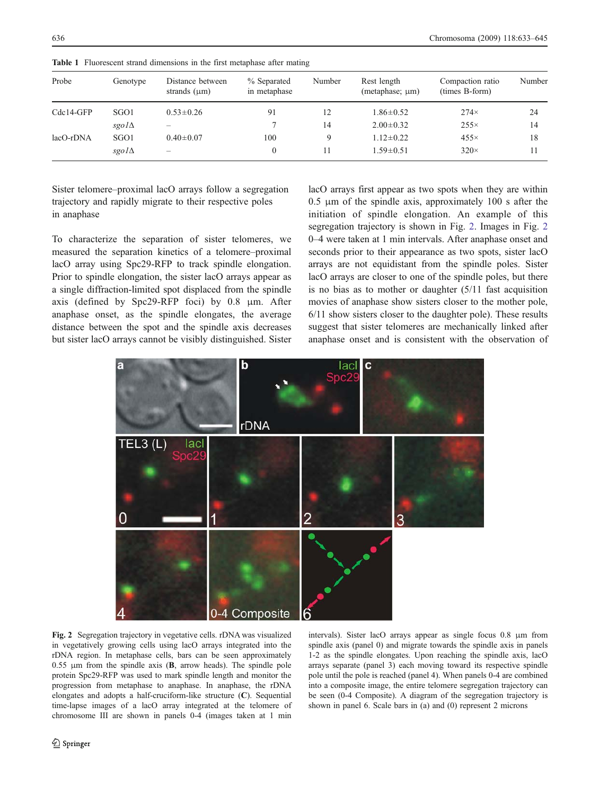| Probe       | Genotype         | Distance between<br>strands $(\mu m)$ | % Separated<br>in metaphase | Number | Rest length<br>(metaphase; $\mu$ m) | Compaction ratio<br>(times B-form) | Number |
|-------------|------------------|---------------------------------------|-----------------------------|--------|-------------------------------------|------------------------------------|--------|
| $Cdc14-GFP$ | SGO <sub>1</sub> | $0.53 \pm 0.26$                       | 91                          | 12     | $1.86 \pm 0.52$                     | $274\times$                        | 24     |
|             | $sgo1\Delta$     |                                       |                             | 14     | $2.00 \pm 0.32$                     | $255\times$                        | 14     |
| lacO-rDNA   | SGO1             | $0.40 \pm 0.07$                       | 100                         | 9      | $1.12 \pm 0.22$                     | $455\times$                        | 18     |
|             | $sgo1\Delta$     | $\overline{\phantom{0}}$              |                             | 11     | $1.59 \pm 0.51$                     | $320\times$                        |        |

<span id="page-3-0"></span>Table 1 Fluorescent strand dimensions in the first metaphase after mating

Sister telomere–proximal lacO arrays follow a segregation trajectory and rapidly migrate to their respective poles in anaphase

To characterize the separation of sister telomeres, we measured the separation kinetics of a telomere–proximal lacO array using Spc29-RFP to track spindle elongation. Prior to spindle elongation, the sister lacO arrays appear as a single diffraction-limited spot displaced from the spindle axis (defined by Spc29-RFP foci) by 0.8 μm. After anaphase onset, as the spindle elongates, the average distance between the spot and the spindle axis decreases but sister lacO arrays cannot be visibly distinguished. Sister

lacO arrays first appear as two spots when they are within  $0.5 \mu$ m of the spindle axis, approximately 100 s after the initiation of spindle elongation. An example of this segregation trajectory is shown in Fig. 2. Images in Fig. 2 0–4 were taken at 1 min intervals. After anaphase onset and seconds prior to their appearance as two spots, sister lacO arrays are not equidistant from the spindle poles. Sister lacO arrays are closer to one of the spindle poles, but there is no bias as to mother or daughter (5/11 fast acquisition movies of anaphase show sisters closer to the mother pole, 6/11 show sisters closer to the daughter pole). These results suggest that sister telomeres are mechanically linked after anaphase onset and is consistent with the observation of



Fig. 2 Segregation trajectory in vegetative cells. rDNA was visualized in vegetatively growing cells using lacO arrays integrated into the rDNA region. In metaphase cells, bars can be seen approximately 0.55 μm from the spindle axis (B, arrow heads). The spindle pole protein Spc29-RFP was used to mark spindle length and monitor the progression from metaphase to anaphase. In anaphase, the rDNA elongates and adopts a half-cruciform-like structure (C). Sequential time-lapse images of a lacO array integrated at the telomere of chromosome III are shown in panels 0-4 (images taken at 1 min

intervals). Sister lacO arrays appear as single focus 0.8 μm from spindle axis (panel 0) and migrate towards the spindle axis in panels 1-2 as the spindle elongates. Upon reaching the spindle axis, lacO arrays separate (panel 3) each moving toward its respective spindle pole until the pole is reached (panel 4). When panels 0-4 are combined into a composite image, the entire telomere segregation trajectory can be seen (0-4 Composite). A diagram of the segregation trajectory is shown in panel 6. Scale bars in (a) and (0) represent 2 microns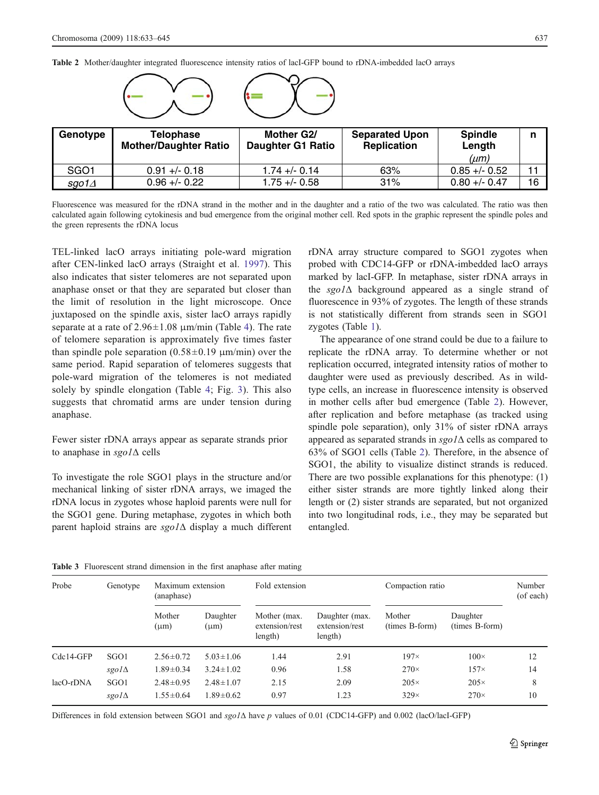| Genotype         | <b>Telophase</b><br><b>Mother/Daughter Ratio</b> | Mother G2/<br><b>Daughter G1 Ratio</b> | <b>Separated Upon</b><br><b>Replication</b> | <b>Spindle</b><br>Length<br>$(\mu m)$ | n  |
|------------------|--------------------------------------------------|----------------------------------------|---------------------------------------------|---------------------------------------|----|
| SGO <sub>1</sub> | $0.91 +/- 0.18$                                  | $1.74 + - 0.14$                        | 63%                                         | $0.85 +/- 0.52$                       | 11 |
| $sqo1\Delta$     | $0.96 + -0.22$                                   | $1.75 + - 0.58$                        | 31%                                         | $0.80 +/- 0.47$                       | 16 |

<span id="page-4-0"></span>Table 2 Mother/daughter integrated fluorescence intensity ratios of lacI-GFP bound to rDNA-imbedded lacO arrays

Fluorescence was measured for the rDNA strand in the mother and in the daughter and a ratio of the two was calculated. The ratio was then calculated again following cytokinesis and bud emergence from the original mother cell. Red spots in the graphic represent the spindle poles and the green represents the rDNA locus

TEL-linked lacO arrays initiating pole-ward migration after CEN-linked lacO arrays (Straight et al. [1997\)](#page-11-0). This also indicates that sister telomeres are not separated upon anaphase onset or that they are separated but closer than the limit of resolution in the light microscope. Once juxtaposed on the spindle axis, sister lacO arrays rapidly separate at a rate of  $2.96 \pm 1.08$   $\mu$ m/min (Table [4\)](#page-5-0). The rate of telomere separation is approximately five times faster than spindle pole separation  $(0.58\pm0.19 \text{ µm/min})$  over the same period. Rapid separation of telomeres suggests that pole-ward migration of the telomeres is not mediated solely by spindle elongation (Table [4](#page-5-0); Fig. [3](#page-5-0)). This also suggests that chromatid arms are under tension during anaphase.

Fewer sister rDNA arrays appear as separate strands prior to anaphase in sgo1∆ cells

To investigate the role SGO1 plays in the structure and/or mechanical linking of sister rDNA arrays, we imaged the rDNA locus in zygotes whose haploid parents were null for the SGO1 gene. During metaphase, zygotes in which both parent haploid strains are sgo1∆ display a much different

rDNA array structure compared to SGO1 zygotes when probed with CDC14-GFP or rDNA-imbedded lacO arrays marked by lacI-GFP. In metaphase, sister rDNA arrays in the sgo1∆ background appeared as a single strand of fluorescence in 93% of zygotes. The length of these strands is not statistically different from strands seen in SGO1 zygotes (Table [1\)](#page-3-0).

The appearance of one strand could be due to a failure to replicate the rDNA array. To determine whether or not replication occurred, integrated intensity ratios of mother to daughter were used as previously described. As in wildtype cells, an increase in fluorescence intensity is observed in mother cells after bud emergence (Table 2). However, after replication and before metaphase (as tracked using spindle pole separation), only 31% of sister rDNA arrays appeared as separated strands in sgo1∆ cells as compared to 63% of SGO1 cells (Table 2). Therefore, in the absence of SGO1, the ability to visualize distinct strands is reduced. There are two possible explanations for this phenotype: (1) either sister strands are more tightly linked along their length or (2) sister strands are separated, but not organized into two longitudinal rods, i.e., they may be separated but entangled.

|  | Table 3 Fluorescent strand dimension in the first anaphase after mating |  |  |  |  |  |  |  |  |
|--|-------------------------------------------------------------------------|--|--|--|--|--|--|--|--|
|--|-------------------------------------------------------------------------|--|--|--|--|--|--|--|--|

| Probe       | Genotype         | Maximum extension<br>(anaphase) |                       | Fold extension                            |                                             | Compaction ratio         |                            | Number<br>(of each) |
|-------------|------------------|---------------------------------|-----------------------|-------------------------------------------|---------------------------------------------|--------------------------|----------------------------|---------------------|
|             |                  | Mother<br>$(\mu m)$             | Daughter<br>$(\mu m)$ | Mother (max.<br>extension/rest<br>length) | Daughter (max.<br>extension/rest<br>length) | Mother<br>(times B-form) | Daughter<br>(times B-form) |                     |
| $Cdc14-GFP$ | SGO <sub>1</sub> | $2.56 \pm 0.72$                 | $5.03 \pm 1.06$       | 1.44                                      | 2.91                                        | $197\times$              | $100\times$                | 12                  |
|             | $sgo1\Delta$     | $1.89 \pm 0.34$                 | $3.24 \pm 1.02$       | 0.96                                      | 1.58                                        | $270\times$              | $157\times$                | 14                  |
| $lacO-rDNA$ | SGO <sub>1</sub> | $2.48 \pm 0.95$                 | $2.48 \pm 1.07$       | 2.15                                      | 2.09                                        | $205\times$              | $205\times$                | 8                   |
|             | $sgo1\Delta$     | $1.55 \pm 0.64$                 | $1.89 \pm 0.62$       | 0.97                                      | 1.23                                        | $329\times$              | $270\times$                | 10                  |

Differences in fold extension between SGO1 and sgo1∆ have p values of 0.01 (CDC14-GFP) and 0.002 (lacO/lacI-GFP)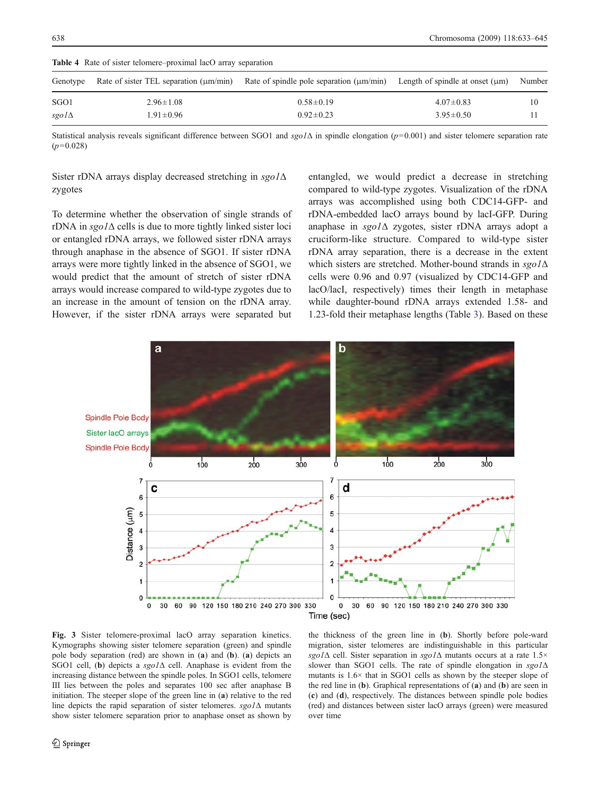<span id="page-5-0"></span>Table 4 Rate of sister telomere–proximal lacO array separation

| Genotype     | Rate of sister TEL separation (um/min) | Rate of spindle pole separation $(\mu m/min)$ | Length of spindle at onset $(\mu m)$ | Number |
|--------------|----------------------------------------|-----------------------------------------------|--------------------------------------|--------|
| SGO1         | $2.96 \pm 1.08$                        | $0.58 \pm 0.19$                               | $4.07 \pm 0.83$                      |        |
| $sgo1\Delta$ | $1.91 \pm 0.96$                        | $0.92 \pm 0.23$                               | $3.95 \pm 0.50$                      |        |

Statistical analysis reveals significant difference between SGO1 and sgo1∆ in spindle elongation ( $p=0.001$ ) and sister telomere separation rate  $(p=0.028)$ 

Sister rDNA arrays display decreased stretching in sgo1∆ zygotes

To determine whether the observation of single strands of rDNA in sgo1∆ cells is due to more tightly linked sister loci or entangled rDNA arrays, we followed sister rDNA arrays through anaphase in the absence of SGO1. If sister rDNA arrays were more tightly linked in the absence of SGO1, we would predict that the amount of stretch of sister rDNA arrays would increase compared to wild-type zygotes due to an increase in the amount of tension on the rDNA array. However, if the sister rDNA arrays were separated but entangled, we would predict a decrease in stretching compared to wild-type zygotes. Visualization of the rDNA arrays was accomplished using both CDC14-GFP- and rDNA-embedded lacO arrays bound by lacI-GFP. During anaphase in sgo1∆ zygotes, sister rDNA arrays adopt a cruciform-like structure. Compared to wild-type sister rDNA array separation, there is a decrease in the extent which sisters are stretched. Mother-bound strands in sgo1∆ cells were 0.96 and 0.97 (visualized by CDC14-GFP and lacO/lacI, respectively) times their length in metaphase while daughter-bound rDNA arrays extended 1.58- and 1.23-fold their metaphase lengths (Table [3](#page-4-0)). Based on these



Fig. 3 Sister telomere-proximal lacO array separation kinetics. Kymographs showing sister telomere separation (green) and spindle pole body separation (red) are shown in (a) and (b). (a) depicts an SGO1 cell, (b) depicts a sgo1∆ cell. Anaphase is evident from the increasing distance between the spindle poles. In SGO1 cells, telomere III lies between the poles and separates 100 sec after anaphase B initiation. The steeper slope of the green line in (a) relative to the red line depicts the rapid separation of sister telomeres. sgo1∆ mutants show sister telomere separation prior to anaphase onset as shown by

the thickness of the green line in (b). Shortly before pole-ward migration, sister telomeres are indistinguishable in this particular sgo1∆ cell. Sister separation in sgo1∆ mutants occurs at a rate 1.5× slower than SGO1 cells. The rate of spindle elongation in sgo1∆ mutants is 1.6× that in SGO1 cells as shown by the steeper slope of the red line in (b). Graphical representations of (a) and (b) are seen in (c) and (d), respectively. The distances between spindle pole bodies (red) and distances between sister lacO arrays (green) were measured over time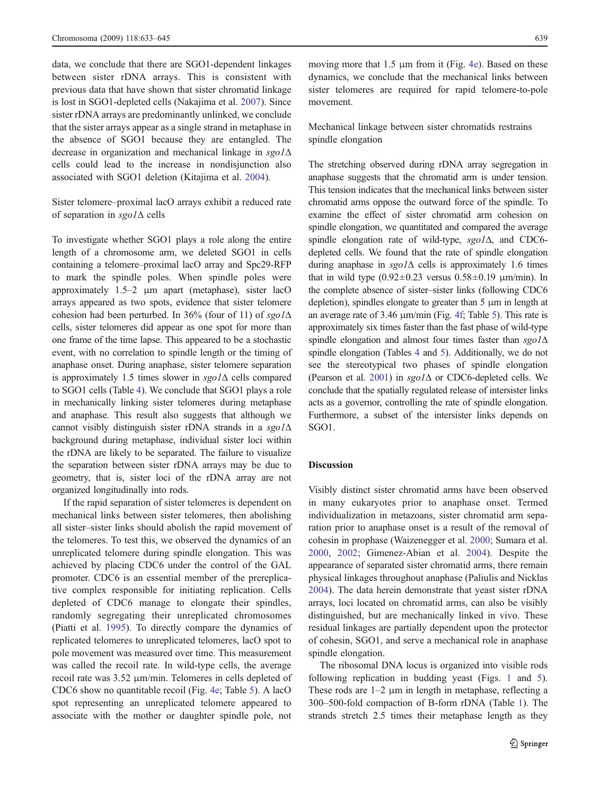data, we conclude that there are SGO1-dependent linkages between sister rDNA arrays. This is consistent with previous data that have shown that sister chromatid linkage is lost in SGO1-depleted cells (Nakajima et al. [2007](#page-11-0)). Since sister rDNA arrays are predominantly unlinked, we conclude that the sister arrays appear as a single strand in metaphase in the absence of SGO1 because they are entangled. The decrease in organization and mechanical linkage in sgo1∆ cells could lead to the increase in nondisjunction also associated with SGO1 deletion (Kitajima et al. [2004\)](#page-11-0).

Sister telomere–proximal lacO arrays exhibit a reduced rate of separation in sgo1∆ cells

To investigate whether SGO1 plays a role along the entire length of a chromosome arm, we deleted SGO1 in cells containing a telomere–proximal lacO array and Spc29-RFP to mark the spindle poles. When spindle poles were approximately 1.5–2 μm apart (metaphase), sister lacO arrays appeared as two spots, evidence that sister telomere cohesion had been perturbed. In 36% (four of 11) of  $sgo1\Delta$ cells, sister telomeres did appear as one spot for more than one frame of the time lapse. This appeared to be a stochastic event, with no correlation to spindle length or the timing of anaphase onset. During anaphase, sister telomere separation is approximately 1.5 times slower in sgo1∆ cells compared to SGO1 cells (Table [4\)](#page-5-0). We conclude that SGO1 plays a role in mechanically linking sister telomeres during metaphase and anaphase. This result also suggests that although we cannot visibly distinguish sister rDNA strands in a sgo1∆ background during metaphase, individual sister loci within the rDNA are likely to be separated. The failure to visualize the separation between sister rDNA arrays may be due to geometry, that is, sister loci of the rDNA array are not organized longitudinally into rods.

If the rapid separation of sister telomeres is dependent on mechanical links between sister telomeres, then abolishing all sister–sister links should abolish the rapid movement of the telomeres. To test this, we observed the dynamics of an unreplicated telomere during spindle elongation. This was achieved by placing CDC6 under the control of the GAL promoter. CDC6 is an essential member of the prereplicative complex responsible for initiating replication. Cells depleted of CDC6 manage to elongate their spindles, randomly segregating their unreplicated chromosomes (Piatti et al. [1995](#page-11-0)). To directly compare the dynamics of replicated telomeres to unreplicated telomeres, lacO spot to pole movement was measured over time. This measurement was called the recoil rate. In wild-type cells, the average recoil rate was 3.52 μm/min. Telomeres in cells depleted of CDC6 show no quantitable recoil (Fig. [4e](#page-7-0); Table [5](#page-8-0)). A lacO spot representing an unreplicated telomere appeared to associate with the mother or daughter spindle pole, not moving more that 1.5 μm from it (Fig. [4e\)](#page-7-0). Based on these dynamics, we conclude that the mechanical links between sister telomeres are required for rapid telomere-to-pole movement.

Mechanical linkage between sister chromatids restrains spindle elongation

The stretching observed during rDNA array segregation in anaphase suggests that the chromatid arm is under tension. This tension indicates that the mechanical links between sister chromatid arms oppose the outward force of the spindle. To examine the effect of sister chromatid arm cohesion on spindle elongation, we quantitated and compared the average spindle elongation rate of wild-type, sgo1∆, and CDC6depleted cells. We found that the rate of spindle elongation during anaphase in sgo1∆ cells is approximately 1.6 times that in wild type  $(0.92\pm0.23$  versus  $0.58\pm0.19$   $\mu$ m/min). In the complete absence of sister–sister links (following CDC6 depletion), spindles elongate to greater than 5 μm in length at an average rate of 3.46 μm/min (Fig. [4f](#page-7-0); Table [5\)](#page-8-0). This rate is approximately six times faster than the fast phase of wild-type spindle elongation and almost four times faster than sgo1∆ spindle elongation (Tables [4](#page-5-0) and [5\)](#page-8-0). Additionally, we do not see the stereotypical two phases of spindle elongation (Pearson et al. [2001\)](#page-11-0) in sgo1∆ or CDC6-depleted cells. We conclude that the spatially regulated release of intersister links acts as a governor, controlling the rate of spindle elongation. Furthermore, a subset of the intersister links depends on SGO1.

## Discussion

Visibly distinct sister chromatid arms have been observed in many eukaryotes prior to anaphase onset. Termed individualization in metazoans, sister chromatid arm separation prior to anaphase onset is a result of the removal of cohesin in prophase (Waizenegger et al. [2000;](#page-12-0) Sumara et al. [2000,](#page-11-0) [2002;](#page-11-0) Gimenez-Abian et al. [2004](#page-11-0)). Despite the appearance of separated sister chromatid arms, there remain physical linkages throughout anaphase (Paliulis and Nicklas [2004\)](#page-11-0). The data herein demonstrate that yeast sister rDNA arrays, loci located on chromatid arms, can also be visibly distinguished, but are mechanically linked in vivo. These residual linkages are partially dependent upon the protector of cohesin, SGO1, and serve a mechanical role in anaphase spindle elongation.

The ribosomal DNA locus is organized into visible rods following replication in budding yeast (Figs. [1](#page-2-0) and [5](#page-8-0)). These rods are  $1-2 \mu m$  in length in metaphase, reflecting a 300–500-fold compaction of B-form rDNA (Table [1](#page-3-0)). The strands stretch 2.5 times their metaphase length as they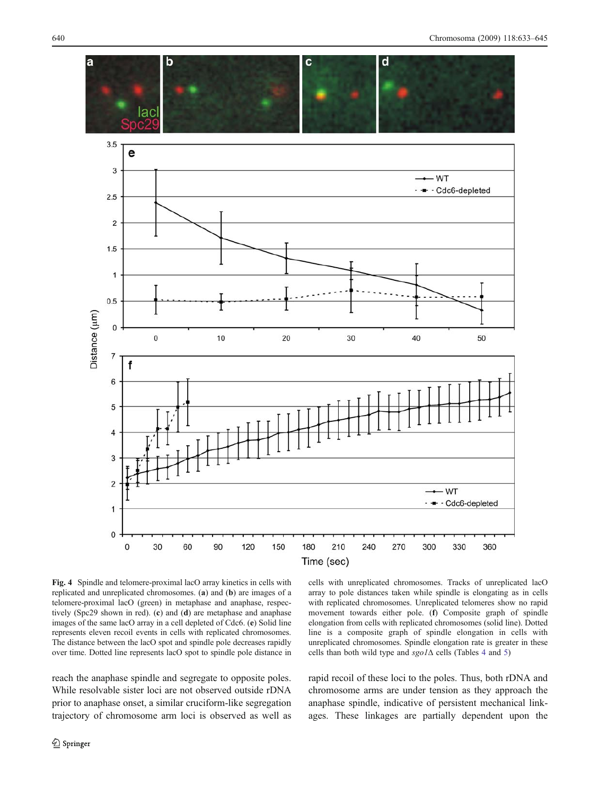<span id="page-7-0"></span>

Fig. 4 Spindle and telomere-proximal lacO array kinetics in cells with replicated and unreplicated chromosomes. (a) and (b) are images of a telomere-proximal lacO (green) in metaphase and anaphase, respectively (Spc29 shown in red). (c) and (d) are metaphase and anaphase images of the same lacO array in a cell depleted of Cdc6. (e) Solid line represents eleven recoil events in cells with replicated chromosomes. The distance between the lacO spot and spindle pole decreases rapidly over time. Dotted line represents lacO spot to spindle pole distance in

reach the anaphase spindle and segregate to opposite poles. While resolvable sister loci are not observed outside rDNA prior to anaphase onset, a similar cruciform-like segregation trajectory of chromosome arm loci is observed as well as

cells with unreplicated chromosomes. Tracks of unreplicated lacO array to pole distances taken while spindle is elongating as in cells with replicated chromosomes. Unreplicated telomeres show no rapid movement towards either pole. (f) Composite graph of spindle elongation from cells with replicated chromosomes (solid line). Dotted line is a composite graph of spindle elongation in cells with unreplicated chromosomes. Spindle elongation rate is greater in these cells than both wild type and sgo1∆ cells (Tables [4](#page-5-0) and [5](#page-8-0))

rapid recoil of these loci to the poles. Thus, both rDNA and chromosome arms are under tension as they approach the anaphase spindle, indicative of persistent mechanical linkages. These linkages are partially dependent upon the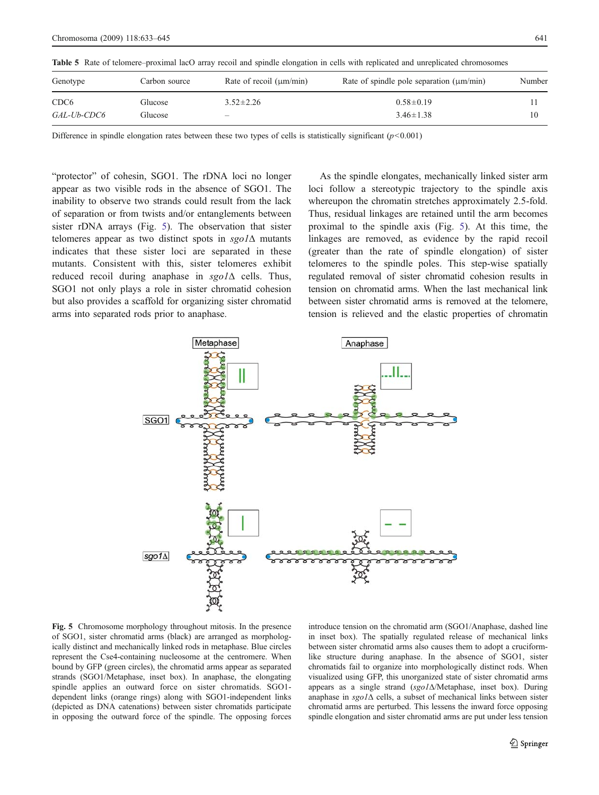<span id="page-8-0"></span>Table 5 Rate of telomere–proximal lacO array recoil and spindle elongation in cells with replicated and unreplicated chromosomes

| Genotype         | Carbon source | Rate of recoil $(\mu m/min)$ | Rate of spindle pole separation $(\mu m/min)$ | Number |
|------------------|---------------|------------------------------|-----------------------------------------------|--------|
| CDC <sub>6</sub> | Glucose       | $3.52 \pm 2.26$              | $0.58 \pm 0.19$                               |        |
| GAL-Ub-CDC6      | Glucose       | $\overline{\phantom{m}}$     | $3.46 \pm 1.38$                               |        |

Difference in spindle elongation rates between these two types of cells is statistically significant  $(p<0.001)$ 

"protector" of cohesin, SGO1. The rDNA loci no longer appear as two visible rods in the absence of SGO1. The inability to observe two strands could result from the lack of separation or from twists and/or entanglements between sister rDNA arrays (Fig. 5). The observation that sister telomeres appear as two distinct spots in sgo1∆ mutants indicates that these sister loci are separated in these mutants. Consistent with this, sister telomeres exhibit reduced recoil during anaphase in  $sgol\Delta$  cells. Thus, SGO1 not only plays a role in sister chromatid cohesion but also provides a scaffold for organizing sister chromatid arms into separated rods prior to anaphase.

As the spindle elongates, mechanically linked sister arm loci follow a stereotypic trajectory to the spindle axis whereupon the chromatin stretches approximately 2.5-fold. Thus, residual linkages are retained until the arm becomes proximal to the spindle axis (Fig. 5). At this time, the linkages are removed, as evidence by the rapid recoil (greater than the rate of spindle elongation) of sister telomeres to the spindle poles. This step-wise spatially regulated removal of sister chromatid cohesion results in tension on chromatid arms. When the last mechanical link between sister chromatid arms is removed at the telomere, tension is relieved and the elastic properties of chromatin



Fig. 5 Chromosome morphology throughout mitosis. In the presence of SGO1, sister chromatid arms (black) are arranged as morphologically distinct and mechanically linked rods in metaphase. Blue circles represent the Cse4-containing nucleosome at the centromere. When bound by GFP (green circles), the chromatid arms appear as separated strands (SGO1/Metaphase, inset box). In anaphase, the elongating spindle applies an outward force on sister chromatids. SGO1 dependent links (orange rings) along with SGO1-independent links (depicted as DNA catenations) between sister chromatids participate in opposing the outward force of the spindle. The opposing forces

introduce tension on the chromatid arm (SGO1/Anaphase, dashed line in inset box). The spatially regulated release of mechanical links between sister chromatid arms also causes them to adopt a cruciformlike structure during anaphase. In the absence of SGO1, sister chromatids fail to organize into morphologically distinct rods. When visualized using GFP, this unorganized state of sister chromatid arms appears as a single strand (sgo1∆/Metaphase, inset box). During anaphase in sgo1∆ cells, a subset of mechanical links between sister chromatid arms are perturbed. This lessens the inward force opposing spindle elongation and sister chromatid arms are put under less tension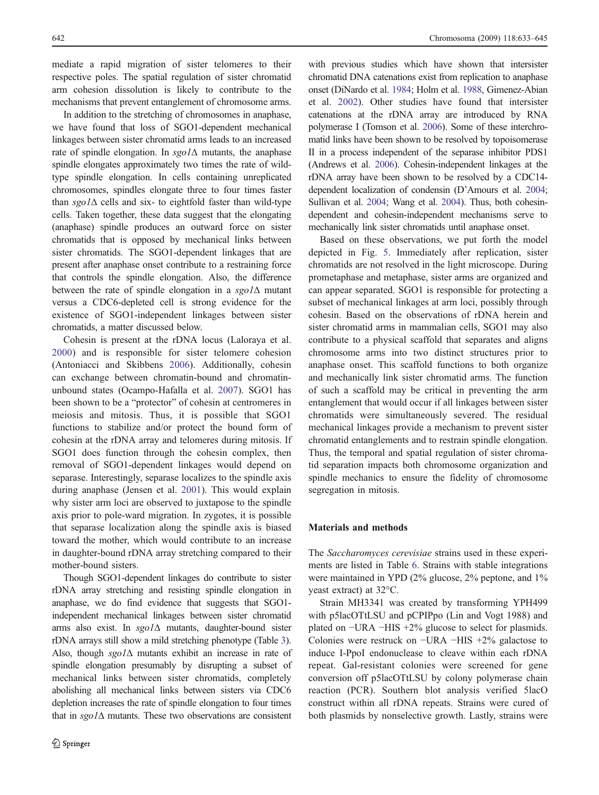mediate a rapid migration of sister telomeres to their respective poles. The spatial regulation of sister chromatid arm cohesion dissolution is likely to contribute to the mechanisms that prevent entanglement of chromosome arms.

In addition to the stretching of chromosomes in anaphase, we have found that loss of SGO1-dependent mechanical linkages between sister chromatid arms leads to an increased rate of spindle elongation. In sgo1∆ mutants, the anaphase spindle elongates approximately two times the rate of wildtype spindle elongation. In cells containing unreplicated chromosomes, spindles elongate three to four times faster than sgo1∆ cells and six- to eightfold faster than wild-type cells. Taken together, these data suggest that the elongating (anaphase) spindle produces an outward force on sister chromatids that is opposed by mechanical links between sister chromatids. The SGO1-dependent linkages that are present after anaphase onset contribute to a restraining force that controls the spindle elongation. Also, the difference between the rate of spindle elongation in a sgo1∆ mutant versus a CDC6-depleted cell is strong evidence for the existence of SGO1-independent linkages between sister chromatids, a matter discussed below.

Cohesin is present at the rDNA locus (Laloraya et al. [2000\)](#page-11-0) and is responsible for sister telomere cohesion (Antoniacci and Skibbens [2006\)](#page-11-0). Additionally, cohesin can exchange between chromatin-bound and chromatinunbound states (Ocampo-Hafalla et al. [2007\)](#page-11-0). SGO1 has been shown to be a "protector" of cohesin at centromeres in meiosis and mitosis. Thus, it is possible that SGO1 functions to stabilize and/or protect the bound form of cohesin at the rDNA array and telomeres during mitosis. If SGO1 does function through the cohesin complex, then removal of SGO1-dependent linkages would depend on separase. Interestingly, separase localizes to the spindle axis during anaphase (Jensen et al. [2001](#page-11-0)). This would explain why sister arm loci are observed to juxtapose to the spindle axis prior to pole-ward migration. In zygotes, it is possible that separase localization along the spindle axis is biased toward the mother, which would contribute to an increase in daughter-bound rDNA array stretching compared to their mother-bound sisters.

Though SGO1-dependent linkages do contribute to sister rDNA array stretching and resisting spindle elongation in anaphase, we do find evidence that suggests that SGO1 independent mechanical linkages between sister chromatid arms also exist. In sgo1∆ mutants, daughter-bound sister rDNA arrays still show a mild stretching phenotype (Table [3](#page-4-0)). Also, though sgo1∆ mutants exhibit an increase in rate of spindle elongation presumably by disrupting a subset of mechanical links between sister chromatids, completely abolishing all mechanical links between sisters via CDC6 depletion increases the rate of spindle elongation to four times that in sgo1∆ mutants. These two observations are consistent with previous studies which have shown that intersister chromatid DNA catenations exist from replication to anaphase onset (DiNardo et al. [1984;](#page-11-0) Holm et al. [1988](#page-11-0), Gimenez-Abian et al. [2002](#page-11-0)). Other studies have found that intersister catenations at the rDNA array are introduced by RNA polymerase I (Tomson et al. [2006\)](#page-12-0). Some of these interchromatid links have been shown to be resolved by topoisomerase II in a process independent of the separase inhibitor PDS1 (Andrews et al. [2006](#page-11-0)). Cohesin-independent linkages at the rDNA array have been shown to be resolved by a CDC14 dependent localization of condensin (D'Amours et al. [2004](#page-11-0); Sullivan et al. [2004](#page-11-0); Wang et al. [2004](#page-12-0)). Thus, both cohesindependent and cohesin-independent mechanisms serve to mechanically link sister chromatids until anaphase onset.

Based on these observations, we put forth the model depicted in Fig. [5](#page-8-0). Immediately after replication, sister chromatids are not resolved in the light microscope. During prometaphase and metaphase, sister arms are organized and can appear separated. SGO1 is responsible for protecting a subset of mechanical linkages at arm loci, possibly through cohesin. Based on the observations of rDNA herein and sister chromatid arms in mammalian cells, SGO1 may also contribute to a physical scaffold that separates and aligns chromosome arms into two distinct structures prior to anaphase onset. This scaffold functions to both organize and mechanically link sister chromatid arms. The function of such a scaffold may be critical in preventing the arm entanglement that would occur if all linkages between sister chromatids were simultaneously severed. The residual mechanical linkages provide a mechanism to prevent sister chromatid entanglements and to restrain spindle elongation. Thus, the temporal and spatial regulation of sister chromatid separation impacts both chromosome organization and spindle mechanics to ensure the fidelity of chromosome segregation in mitosis.

#### Materials and methods

The Saccharomyces cerevisiae strains used in these experiments are listed in Table [6.](#page-10-0) Strains with stable integrations were maintained in YPD (2% glucose, 2% peptone, and 1% yeast extract) at 32°C.

Strain MH3341 was created by transforming YPH499 with p5lacOTtLSU and pCPIPpo (Lin and Vogt 1988) and plated on −URA −HIS +2% glucose to select for plasmids. Colonies were restruck on −URA −HIS +2% galactose to induce I-PpoI endonuclease to cleave within each rDNA repeat. Gal-resistant colonies were screened for gene conversion off p5lacOTtLSU by colony polymerase chain reaction (PCR). Southern blot analysis verified 5lacO construct within all rDNA repeats. Strains were cured of both plasmids by nonselective growth. Lastly, strains were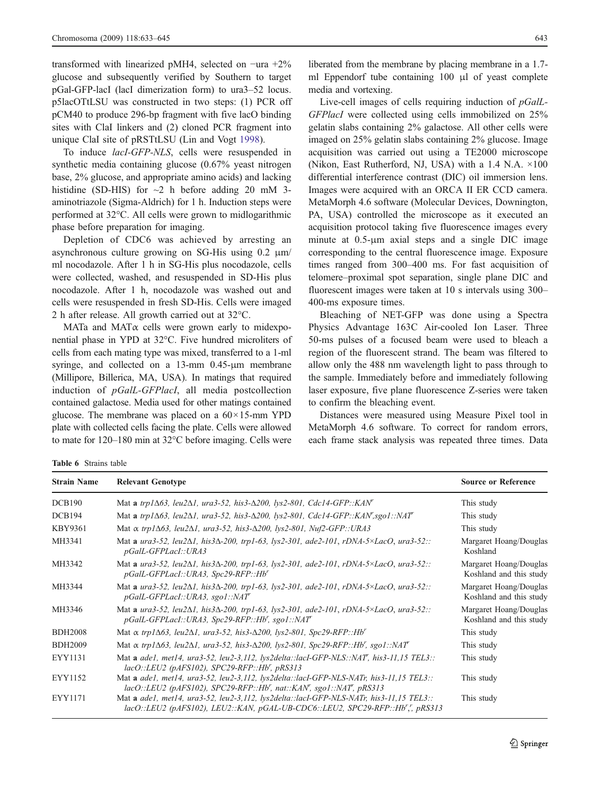<span id="page-10-0"></span>transformed with linearized pMH4, selected on −ura +2% glucose and subsequently verified by Southern to target pGal-GFP-lacI (lacI dimerization form) to ura3–52 locus. p5lacOTtLSU was constructed in two steps: (1) PCR off pCM40 to produce 296-bp fragment with five lacO binding sites with ClaI linkers and (2) cloned PCR fragment into unique ClaI site of pRSTtLSU (Lin and Vogt [1998](#page-11-0)).

To induce lacI-GFP-NLS, cells were resuspended in synthetic media containing glucose (0.67% yeast nitrogen base, 2% glucose, and appropriate amino acids) and lacking histidine (SD-HIS) for  $\sim$ 2 h before adding 20 mM 3aminotriazole (Sigma-Aldrich) for 1 h. Induction steps were performed at 32°C. All cells were grown to midlogarithmic phase before preparation for imaging.

Depletion of CDC6 was achieved by arresting an asynchronous culture growing on SG-His using 0.2 μm/ ml nocodazole. After 1 h in SG-His plus nocodazole, cells were collected, washed, and resuspended in SD-His plus nocodazole. After 1 h, nocodazole was washed out and cells were resuspended in fresh SD-His. Cells were imaged 2 h after release. All growth carried out at 32°C.

MATa and MAT $\alpha$  cells were grown early to midexponential phase in YPD at 32°C. Five hundred microliters of cells from each mating type was mixed, transferred to a 1-ml syringe, and collected on a 13-mm 0.45-μm membrane (Millipore, Billerica, MA, USA). In matings that required induction of *pGalL-GFPlacI*, all media postcollection contained galactose. Media used for other matings contained glucose. The membrane was placed on a  $60 \times 15$ -mm YPD plate with collected cells facing the plate. Cells were allowed to mate for 120–180 min at 32°C before imaging. Cells were

liberated from the membrane by placing membrane in a 1.7 ml Eppendorf tube containing 100 μl of yeast complete media and vortexing.

Live-cell images of cells requiring induction of *pGalL*-GFPlacI were collected using cells immobilized on 25% gelatin slabs containing 2% galactose. All other cells were imaged on 25% gelatin slabs containing 2% glucose. Image acquisition was carried out using a TE2000 microscope (Nikon, East Rutherford, NJ, USA) with a 1.4 N.A. ×100 differential interference contrast (DIC) oil immersion lens. Images were acquired with an ORCA II ER CCD camera. MetaMorph 4.6 software (Molecular Devices, Downington, PA, USA) controlled the microscope as it executed an acquisition protocol taking five fluorescence images every minute at 0.5-μm axial steps and a single DIC image corresponding to the central fluorescence image. Exposure times ranged from 300–400 ms. For fast acquisition of telomere–proximal spot separation, single plane DIC and fluorescent images were taken at 10 s intervals using 300– 400-ms exposure times.

Bleaching of NET-GFP was done using a Spectra Physics Advantage 163C Air-cooled Ion Laser. Three 50-ms pulses of a focused beam were used to bleach a region of the fluorescent strand. The beam was filtered to allow only the 488 nm wavelength light to pass through to the sample. Immediately before and immediately following laser exposure, five plane fluorescence Z-series were taken to confirm the bleaching event.

Distances were measured using Measure Pixel tool in MetaMorph 4.6 software. To correct for random errors, each frame stack analysis was repeated three times. Data

Table 6 Strains table

| <b>Strain Name</b> | <b>Relevant Genotype</b>                                                                                                                                                                | <b>Source or Reference</b>                        |
|--------------------|-----------------------------------------------------------------------------------------------------------------------------------------------------------------------------------------|---------------------------------------------------|
| DCB190             | Mat a trp1 $\Delta$ 63, leu2 $\Delta$ 1, ura3-52, his3- $\Delta$ 200, lys2-801, Cdc14-GFP::KAN'                                                                                         | This study                                        |
| DCB194             | Mat a trp1 $\Delta$ 63, leu2 $\Delta$ 1, ura3-52, his3- $\Delta$ 200, lys2-801, Cdc14-GFP::KAN',sgo1::NAT'                                                                              | This study                                        |
| <b>KBY9361</b>     | Mat $\alpha$ trp1 $\Delta$ 63, leu2 $\Delta$ 1, ura3-52, his3- $\Delta$ 200, lys2-801, Nuf2-GFP::URA3                                                                                   | This study                                        |
| MH3341             | Mat a $ura3-52$ , leu $2\Delta1$ , his $3\Delta-200$ , trp1-63, lys $2-301$ , ade $2-101$ , rDNA-5×LacO, ura $3-52$ .:<br>pGalL-GFPLacI::URA3                                           | Margaret Hoang/Douglas<br>Koshland                |
| MH3342             | Mat a $ura3-52$ , leu $2\Delta1$ , his $3\Delta-200$ , trp1-63, lys $2-301$ , ade $2-101$ , rDNA-5×LacO, ura $3-52$ .:<br>pGalL-GFPLacI::URA3, Spc29-RFP::Hb'                           | Margaret Hoang/Douglas<br>Koshland and this study |
| MH3344             | Mat a $ura3-52$ , leu $2\Delta1$ , his $3\Delta-200$ , trp1-63, lys $2-301$ , ade $2-101$ , rDNA-5×LacO, ura $3-52$ .:<br>pGalL-GFPLacl::URA3, sgo1::NAT                                | Margaret Hoang/Douglas<br>Koshland and this study |
| MH3346             | Mat <b>a</b> $ura3-52$ , $leu2\Delta1$ , his $3\Delta-200$ , trp1-63, lys $2-301$ , ade $2-101$ , rDNA- $5\times LacO$ , $ura3-52$ .<br>pGalL-GFPLacI::URA3, Spc29-RFP::Hb', sgo1::NAT' | Margaret Hoang/Douglas<br>Koshland and this study |
| <b>BDH2008</b>     | Mat $\alpha$ trp1 $\Delta$ 63, leu2 $\Delta$ 1, ura3-52, his3- $\Delta$ 200, lys2-801, Spc29-RFP::Hb <sup>r</sup>                                                                       | This study                                        |
| <b>BDH2009</b>     | Mat $\alpha$ trp1 $\Delta$ 63, leu2 $\Delta$ 1, ura3-52, his3- $\Delta$ 200, lys2-801, Spc29-RFP::Hb', sgo1::NAT'                                                                       | This study                                        |
| EYY1131            | Mat a adel, met14, ura3-52, leu2-3,112, lys2delta::lacI-GFP-NLS::NAT', his3-11,15 TEL3::<br>$lacO::LEU2$ (pAFS102), SPC29-RFP:: $Hb'$ , pRS313                                          | This study                                        |
| EYY1152            | Mat a adel, met14, ura3-52, leu2-3,112, lys2delta::lacI-GFP-NLS-NATr, his3-11,15 TEL3::<br>$lacO::LEU2$ (pAFS102), SPC29-RFP::Hb', nat::KAN', sgo1::NAT', pRS313                        | This study                                        |
| EYY1171            | Mat a adel, met14, ura3-52, leu2-3,112, lys2delta::lacI-GFP-NLS-NATr, his3-11,15 TEL3::<br>$lacO$ ::LEU2 (pAFS102), LEU2::KAN, pGAL-UB-CDC6::LEU2, SPC29-RFP::Hb'', pRS313              | This study                                        |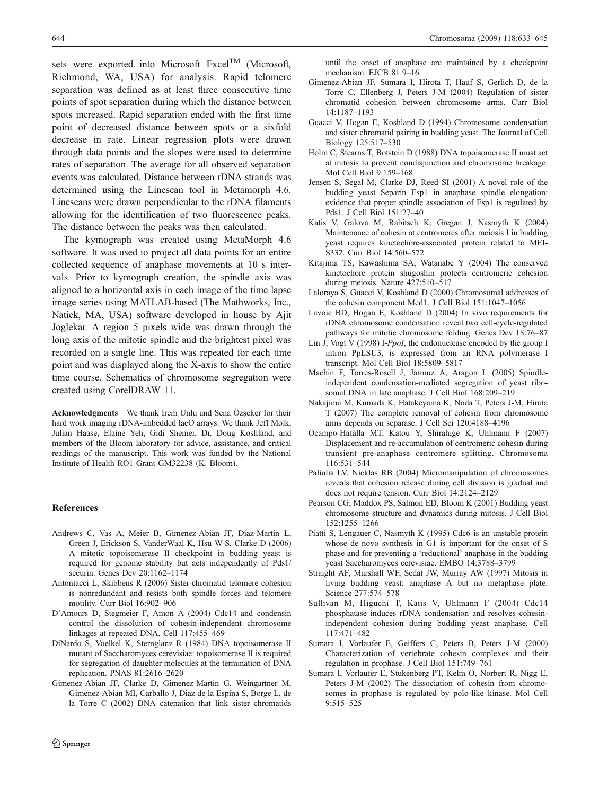<span id="page-11-0"></span>sets were exported into Microsoft Excel<sup>TM</sup> (Microsoft, Richmond, WA, USA) for analysis. Rapid telomere separation was defined as at least three consecutive time points of spot separation during which the distance between spots increased. Rapid separation ended with the first time point of decreased distance between spots or a sixfold decrease in rate. Linear regression plots were drawn through data points and the slopes were used to determine rates of separation. The average for all observed separation events was calculated. Distance between rDNA strands was determined using the Linescan tool in Metamorph 4.6. Linescans were drawn perpendicular to the rDNA filaments allowing for the identification of two fluorescence peaks. The distance between the peaks was then calculated.

The kymograph was created using MetaMorph 4.6 software. It was used to project all data points for an entire collected sequence of anaphase movements at 10 s intervals. Prior to kymograph creation, the spindle axis was aligned to a horizontal axis in each image of the time lapse image series using MATLAB-based (The Mathworks, Inc., Natick, MA, USA) software developed in house by Ajit Joglekar. A region 5 pixels wide was drawn through the long axis of the mitotic spindle and the brightest pixel was recorded on a single line. This was repeated for each time point and was displayed along the X-axis to show the entire time course. Schematics of chromosome segregation were created using CorelDRAW 11.

Acknowledgments We thank Irem Unlu and Sena Özşeker for their hard work imaging rDNA-imbedded lacO arrays. We thank Jeff Molk, Julian Haase, Elaine Yeh, Gidi Shemer, Dr. Doug Koshland, and members of the Bloom laboratory for advice, assistance, and critical readings of the manuscript. This work was funded by the National Institute of Health RO1 Grant GM32238 (K. Bloom).

#### References

- Andrews C, Vas A, Meier B, Gimenez-Abian JF, Diaz-Martin L, Green J, Erickson S, VanderWaal K, Hsu W-S, Clarke D (2006) A mitotic topoisomerase II checkpoint in budding yeast is required for genome stability but acts independently of Pds1/ securin. Genes Dev 20:1162–1174
- Antoniacci L, Skibbens R (2006) Sister-chromatid telomere cohesion is nonredundant and resists both spindle forces and telomere motility. Curr Biol 16:902–906
- D'Amours D, Stegmeier F, Amon A (2004) Cdc14 and condensin control the dissolution of cohesin-independent chromosome linkages at repeated DNA. Cell 117:455–469
- DiNardo S, Voelkel K, Sternglanz R (1984) DNA topoisomerase II mutant of Saccharomyces cerevisiae: topoisomerase II is required for segregation of daughter molecules at the termination of DNA replication. PNAS 81:2616–2620
- Gimenez-Abian JF, Clarke D, Gimenez-Martin G, Weingartner M, Gimenez-Abian MI, Carballo J, Diaz de la Espina S, Borge L, de la Torre C (2002) DNA catenation that link sister chromatids

until the onset of anaphase are maintained by a checkpoint mechanism. EJCB 81:9–16

- Gimenez-Abian JF, Sumara I, Hirota T, Hauf S, Gerlich D, de la Torre C, Ellenberg J, Peters J-M (2004) Regulation of sister chromatid cohesion between chromosome arms. Curr Biol 14:1187–1193
- Guacci V, Hogan E, Koshland D (1994) Chromosome condensation and sister chromatid pairing in budding yeast. The Journal of Cell Biology 125:517–530
- Holm C, Stearns T, Botstein D (1988) DNA topoisomerase II must act at mitosis to prevent nondisjunction and chromosome breakage. Mol Cell Biol 9:159–168
- Jensen S, Segal M, Clarke DJ, Reed SI (2001) A novel role of the budding yeast Separin Esp1 in anaphase spindle elongation: evidence that proper spindle association of Esp1 is regulated by Pds1. J Cell Biol 151:27–40
- Katis V, Galova M, Rabitsch K, Gregan J, Nasmyth K (2004) Maintenance of cohesin at centromeres after meiosis I in budding yeast requires kinetochore-associated protein related to MEI-S332. Curr Biol 14:560–572
- Kitajima TS, Kawashima SA, Watanabe Y (2004) The conserved kinetochore protein shugoshin protects centromeric cohesion during meiosis. Nature 427:510–517
- Laloraya S, Guacci V, Koshland D (2000) Chromosomal addresses of the cohesin component Mcd1. J Cell Biol 151:1047–1056
- Lavoie BD, Hogan E, Koshland D (2004) In vivo requirements for rDNA chromosome condensation reveal two cell-cycle-regulated pathways for mitotic chromosome folding. Genes Dev 18:76–87
- Lin J, Vogt V (1998) I-PpoI, the endonuclease encoded by the group I intron PpLSU3, is expressed from an RNA polymerase I transcript. Mol Cell Biol 18:5809–5817
- Machin F, Torres-Rosell J, Jarmuz A, Aragon L (2005) Spindleindependent condensation-mediated segregation of yeast ribosomal DNA in late anaphase. J Cell Biol 168:209–219
- Nakajima M, Kumada K, Hatakeyama K, Noda T, Peters J-M, Hirota T (2007) The complete removal of cohesin from chromosome arms depends on separase. J Cell Sci 120:4188–4196
- Ocampo-Hafalla MT, Katou Y, Shirahige K, Uhlmann F (2007) Displacement and re-accumulation of centromeric cohesin during transient pre-anaphase centromere splitting. Chromosoma 116:531–544
- Paliulis LV, Nicklas RB (2004) Micromanipulation of chromosomes reveals that cohesion release during cell division is gradual and does not require tension. Curr Biol 14:2124–2129
- Pearson CG, Maddox PS, Salmon ED, Bloom K (2001) Budding yeast chromosome structure and dynamics during mitosis. J Cell Biol 152:1255–1266
- Piatti S, Lengauer C, Nasmyth K (1995) Cdc6 is an unstable protein whose de novo synthesis in G1 is important for the onset of S phase and for preventing a 'reductional' anaphase in the budding yeast Saccharomyces cerevisiae. EMBO 14:3788–3799
- Straight AF, Marshall WF, Sedat JW, Murray AW (1997) Mitosis in living budding yeast: anaphase A but no metaphase plate. Science 277:574–578
- Sullivan M, Higuchi T, Katis V, Uhlmann F (2004) Cdc14 phosphatase induces rDNA condensation and resolves cohesinindependent cohesion during budding yeast anaphase. Cell 117:471–482
- Sumara I, Vorlaufer E, Geiffers C, Peters B, Peters J-M (2000) Characterization of vertebrate cohesin complexes and their regulation in prophase. J Cell Biol 151:749–761
- Sumara I, Vorlaufer E, Stukenberg PT, Kelm O, Norbert R, Nigg E, Peters J-M (2002) The dissociation of cohesin from chromosomes in prophase is regulated by polo-like kinase. Mol Cell 9:515–525